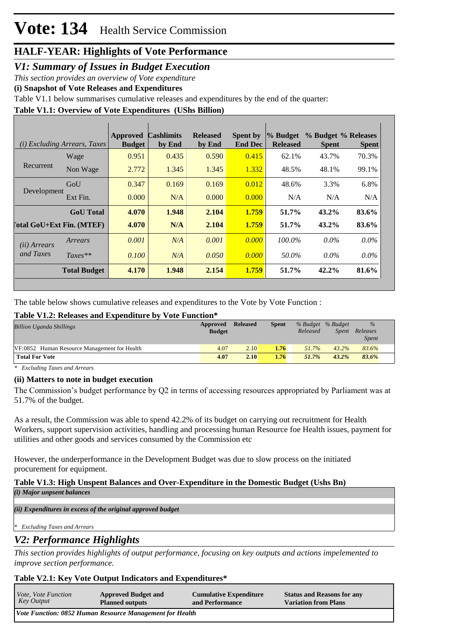### *V1: Summary of Issues in Budget Execution*

*This section provides an overview of Vote expenditure* 

**(i) Snapshot of Vote Releases and Expenditures**

Table V1.1 below summarises cumulative releases and expenditures by the end of the quarter:

### **Table V1.1: Overview of Vote Expenditures (UShs Billion)**

|                            | (i) Excluding Arrears, Taxes | Approved<br><b>Budget</b> | <b>Cashlimits</b><br>by End | <b>Released</b><br>by End | Spent by<br><b>End Dec</b> | % Budget<br><b>Released</b> | <b>Spent</b> | % Budget % Releases<br><b>Spent</b> |
|----------------------------|------------------------------|---------------------------|-----------------------------|---------------------------|----------------------------|-----------------------------|--------------|-------------------------------------|
| Recurrent                  | Wage                         | 0.951                     | 0.435                       | 0.590                     | 0.415                      | 62.1%                       | 43.7%        | 70.3%                               |
|                            | Non Wage                     | 2.772                     | 1.345                       | 1.345                     | 1.332                      | 48.5%                       | 48.1%        | 99.1%                               |
| Development                | GoU                          | 0.347                     | 0.169                       | 0.169                     | 0.012                      | 48.6%                       | 3.3%         | 6.8%                                |
|                            | Ext Fin.                     | 0.000                     | N/A                         | 0.000                     | 0.000                      | N/A                         | N/A          | N/A                                 |
|                            | <b>GoU</b> Total             | 4.070                     | 1.948                       | 2.104                     | 1.759                      | 51.7%                       | $43.2\%$     | 83.6%                               |
| [`otal GoU+Ext Fin. (MTEF) |                              | 4.070                     | N/A                         | 2.104                     | 1.759                      | 51.7%                       | $43.2\%$     | 83.6%                               |
| (ii) Arrears               | Arrears                      | 0.001                     | N/A                         | 0.001                     | 0.000                      | 100.0%                      | $0.0\%$      | $0.0\%$                             |
| and Taxes                  | $Taxes**$                    | 0.100                     | N/A                         | 0.050                     | 0.000                      | 50.0%                       | $0.0\%$      | $0.0\%$                             |
|                            | <b>Total Budget</b>          | 4.170                     | 1.948                       | 2.154                     | 1.759                      | 51.7%                       | 42.2%        | 81.6%                               |

The table below shows cumulative releases and expenditures to the Vote by Vote Function :

### **Table V1.2: Releases and Expenditure by Vote Function\***

| <b>Billion Uganda Shillings</b>              | Approved<br><b>Budget</b> | <b>Released</b> | <b>Spent</b> | % Budget % Budget<br>Released | <i>Spent</i> | $\%$<br>Releases<br><b>Spent</b> |  |
|----------------------------------------------|---------------------------|-----------------|--------------|-------------------------------|--------------|----------------------------------|--|
| VF:0852 Human Resource Management for Health | 4.07                      | 2.10            | 1.76         | $51.7\%$                      | 43.2%        | 83.6%                            |  |
| <b>Total For Vote</b>                        | 4.07                      | 2.10            | 1.76         | 51.7%                         | $43.2\%$     | 83.6%                            |  |

*\* Excluding Taxes and Arrears*

### **(ii) Matters to note in budget execution**

The Commission's budget performance by Q2 in terms of accessing resources appropriated by Parliament was at 51.7% of the budget.

As a result, the Commission was able to spend 42.2% of its budget on carrying out recruitment for Health Workers, support supervision activities, handling and processing human Resource foe Health issues, payment for utilities and other goods and services consumed by the Commission etc

However, the underperformance in the Development Budget was due to slow process on the initiated procurement for equipment.

### **Table V1.3: High Unspent Balances and Over-Expenditure in the Domestic Budget (Ushs Bn)** *(i) Major unpsent balances*

*(ii) Expenditures in excess of the original approved budget*

*\* Excluding Taxes and Arrears*

# *V2: Performance Highlights*

*This section provides highlights of output performance, focusing on key outputs and actions impelemented to improve section performance.*

## **Table V2.1: Key Vote Output Indicators and Expenditures\***

| <i>Vote, Vote Function</i>                               | <b>Approved Budget and</b> | <b>Cumulative Expenditure</b> | <b>Status and Reasons for any</b> |  |  |  |
|----------------------------------------------------------|----------------------------|-------------------------------|-----------------------------------|--|--|--|
| Key Output                                               | <b>Planned outputs</b>     | and Performance               | <b>Variation from Plans</b>       |  |  |  |
| Vote Function: 0852 Human Resource Management for Health |                            |                               |                                   |  |  |  |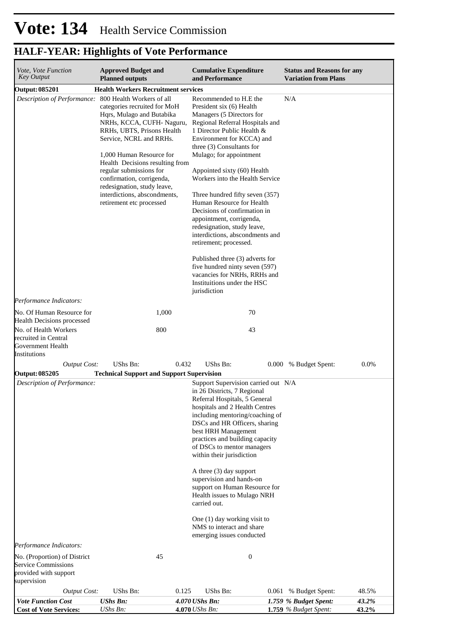| Vote, Vote Function<br><b>Key Output</b>                                                                        | <b>Approved Budget and</b><br><b>Planned outputs</b>                                                                                                                                                                                                                                                                                                                                          | <b>Cumulative Expenditure</b><br>and Performance                                                                                                                                                                                                                                                                                                                                                                                                                                                                                                                                                                                                                                    | <b>Status and Reasons for any</b><br><b>Variation from Plans</b>   |
|-----------------------------------------------------------------------------------------------------------------|-----------------------------------------------------------------------------------------------------------------------------------------------------------------------------------------------------------------------------------------------------------------------------------------------------------------------------------------------------------------------------------------------|-------------------------------------------------------------------------------------------------------------------------------------------------------------------------------------------------------------------------------------------------------------------------------------------------------------------------------------------------------------------------------------------------------------------------------------------------------------------------------------------------------------------------------------------------------------------------------------------------------------------------------------------------------------------------------------|--------------------------------------------------------------------|
| <b>Output: 085201</b>                                                                                           | <b>Health Workers Recruitment services</b>                                                                                                                                                                                                                                                                                                                                                    |                                                                                                                                                                                                                                                                                                                                                                                                                                                                                                                                                                                                                                                                                     |                                                                    |
| Description of Performance:                                                                                     | 800 Health Workers of all<br>categories recruited for MoH<br>Hqrs, Mulago and Butabika<br>NRHs, KCCA, CUFH-Naguru,<br>RRHs, UBTS, Prisons Health<br>Service, NCRL and RRHs.<br>1,000 Human Resource for<br>Health Decisions resulting from<br>regular submissions for<br>confirmation, corrigenda,<br>redesignation, study leave,<br>interdictions, abscondments,<br>retirement etc processed | Recommended to H.E the<br>President six (6) Health<br>Managers (5 Directors for<br>Regional Referral Hospitals and<br>1 Director Public Health &<br>Environment for KCCA) and<br>three (3) Consultants for<br>Mulago; for appointment<br>Appointed sixty (60) Health<br>Workers into the Health Service<br>Three hundred fifty seven (357)<br>Human Resource for Health<br>Decisions of confirmation in<br>appointment, corrigenda,<br>redesignation, study leave,<br>interdictions, abscondments and<br>retirement; processed.<br>Published three (3) adverts for<br>five hundred ninty seven (597)<br>vacancies for NRHs, RRHs and<br>Instituitions under the HSC<br>jurisdiction | N/A                                                                |
| Performance Indicators:                                                                                         |                                                                                                                                                                                                                                                                                                                                                                                               |                                                                                                                                                                                                                                                                                                                                                                                                                                                                                                                                                                                                                                                                                     |                                                                    |
| No. Of Human Resource for<br><b>Health Decisions processed</b><br>No. of Health Workers<br>recruited in Central | 1,000<br>800                                                                                                                                                                                                                                                                                                                                                                                  | 70<br>43                                                                                                                                                                                                                                                                                                                                                                                                                                                                                                                                                                                                                                                                            |                                                                    |
| Government Health<br>Institutions                                                                               |                                                                                                                                                                                                                                                                                                                                                                                               |                                                                                                                                                                                                                                                                                                                                                                                                                                                                                                                                                                                                                                                                                     |                                                                    |
| <b>Output Cost:</b><br><b>Output: 085205</b>                                                                    | UShs Bn:<br>0.432<br><b>Technical Support and Support Supervision</b>                                                                                                                                                                                                                                                                                                                         | UShs Bn:                                                                                                                                                                                                                                                                                                                                                                                                                                                                                                                                                                                                                                                                            | 0.0%<br>0.000 % Budget Spent:                                      |
| Description of Performance:<br>Performance Indicators:<br>No. (Proportion) of District                          | 45                                                                                                                                                                                                                                                                                                                                                                                            | Support Supervision carried out N/A<br>in 26 Districts, 7 Regional<br>Referral Hospitals, 5 General<br>hospitals and 2 Health Centres<br>including mentoring/coaching of<br>DSCs and HR Officers, sharing<br>best HRH Management<br>practices and building capacity<br>of DSCs to mentor managers<br>within their jurisdiction<br>A three (3) day support<br>supervision and hands-on<br>support on Human Resource for<br>Health issues to Mulago NRH<br>carried out.<br>One (1) day working visit to<br>NMS to interact and share<br>emerging issues conducted<br>$\boldsymbol{0}$                                                                                                 |                                                                    |
| <b>Service Commissions</b><br>provided with support<br>supervision                                              |                                                                                                                                                                                                                                                                                                                                                                                               |                                                                                                                                                                                                                                                                                                                                                                                                                                                                                                                                                                                                                                                                                     |                                                                    |
| <b>Output Cost:</b>                                                                                             | UShs Bn:<br>0.125                                                                                                                                                                                                                                                                                                                                                                             | UShs Bn:                                                                                                                                                                                                                                                                                                                                                                                                                                                                                                                                                                                                                                                                            | 48.5%<br>0.061 % Budget Spent:                                     |
| <b>Vote Function Cost</b><br><b>Cost of Vote Services:</b>                                                      | <b>UShs Bn:</b><br>UShs Bn:                                                                                                                                                                                                                                                                                                                                                                   | 4.070 UShs Bn:<br>4.070 UShs Bn:                                                                                                                                                                                                                                                                                                                                                                                                                                                                                                                                                                                                                                                    | 43.2%<br>1.759 % Budget Spent:<br>43.2%<br>1.759 $%$ Budget Spent: |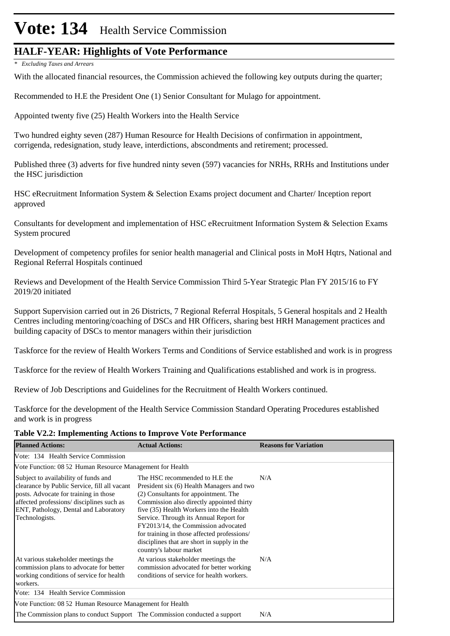# Vote: 134 Health Service Commission

## **HALF-YEAR: Highlights of Vote Performance**

*\* Excluding Taxes and Arrears*

With the allocated financial resources, the Commission achieved the following key outputs during the quarter;

Recommended to H.E the President One (1) Senior Consultant for Mulago for appointment.

Appointed twenty five (25) Health Workers into the Health Service

Two hundred eighty seven (287) Human Resource for Health Decisions of confirmation in appointment, corrigenda, redesignation, study leave, interdictions, abscondments and retirement; processed.

Published three (3) adverts for five hundred ninty seven (597) vacancies for NRHs, RRHs and Institutions under the HSC jurisdiction

HSC eRecruitment Information System & Selection Exams project document and Charter/ Inception report approved

Consultants for development and implementation of HSC eRecruitment Information System & Selection Exams System procured

Development of competency profiles for senior health managerial and Clinical posts in MoH Hqtrs, National and Regional Referral Hospitals continued

Reviews and Development of the Health Service Commission Third 5-Year Strategic Plan FY 2015/16 to FY 2019/20 initiated

Support Supervision carried out in 26 Districts, 7 Regional Referral Hospitals, 5 General hospitals and 2 Health Centres including mentoring/coaching of DSCs and HR Officers, sharing best HRH Management practices and building capacity of DSCs to mentor managers within their jurisdiction

Taskforce for the review of Health Workers Terms and Conditions of Service established and work is in progress

Taskforce for the review of Health Workers Training and Qualifications established and work is in progress.

Review of Job Descriptions and Guidelines for the Recruitment of Health Workers continued.

Taskforce for the development of the Health Service Commission Standard Operating Procedures established and work is in progress

### **Table V2.2: Implementing Actions to Improve Vote Performance**

| <b>Planned Actions:</b>                                                                                                                                                                                                               | <b>Actual Actions:</b>                                                                                                                                                                                                                                                                                                                                                                                                 | <b>Reasons for Variation</b> |
|---------------------------------------------------------------------------------------------------------------------------------------------------------------------------------------------------------------------------------------|------------------------------------------------------------------------------------------------------------------------------------------------------------------------------------------------------------------------------------------------------------------------------------------------------------------------------------------------------------------------------------------------------------------------|------------------------------|
| Vote: 134 Health Service Commission                                                                                                                                                                                                   |                                                                                                                                                                                                                                                                                                                                                                                                                        |                              |
| Vote Function: 08 52 Human Resource Management for Health                                                                                                                                                                             |                                                                                                                                                                                                                                                                                                                                                                                                                        |                              |
| Subject to availability of funds and<br>clearance by Public Service, fill all vacant<br>posts. Advocate for training in those<br>affected professions/ disciplines such as<br>ENT, Pathology, Dental and Laboratory<br>Technologists. | The HSC recommended to H.E the<br>President six (6) Health Managers and two<br>(2) Consultants for appointment. The<br>Commission also directly appointed thirty<br>five (35) Health Workers into the Health<br>Service. Through its Annual Report for<br>FY2013/14, the Commission advocated<br>for training in those affected professions/<br>disciplines that are short in supply in the<br>country's labour market | N/A                          |
| At various stakeholder meetings the<br>commission plans to advocate for better<br>working conditions of service for health<br>workers.                                                                                                | At various stakeholder meetings the<br>commission advocated for better working<br>conditions of service for health workers.                                                                                                                                                                                                                                                                                            | N/A                          |
| Vote: 134 Health Service Commission                                                                                                                                                                                                   |                                                                                                                                                                                                                                                                                                                                                                                                                        |                              |
| Vote Function: 08.52 Human Resource Management for Health                                                                                                                                                                             |                                                                                                                                                                                                                                                                                                                                                                                                                        |                              |
| The Commission plans to conduct Support The Commission conducted a support                                                                                                                                                            |                                                                                                                                                                                                                                                                                                                                                                                                                        | N/A                          |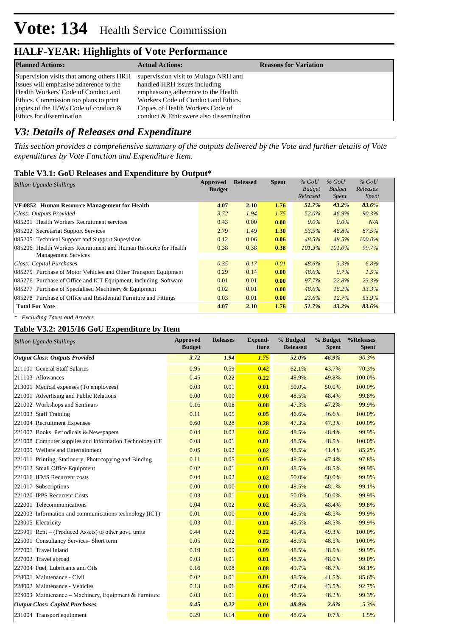| <b>Planned Actions:</b>                                                                                                                                                                                                                   | <b>Actual Actions:</b>                                                                                                                                                                                                            | <b>Reasons for Variation</b> |
|-------------------------------------------------------------------------------------------------------------------------------------------------------------------------------------------------------------------------------------------|-----------------------------------------------------------------------------------------------------------------------------------------------------------------------------------------------------------------------------------|------------------------------|
| Supervision visits that among others HRH<br>issues will emphasise adherence to the<br>Health Workers' Code of Conduct and<br>Ethics. Commission too plans to print<br>copies of the H/Ws Code of conduct $\&$<br>Ethics for dissemination | supervission visit to Mulago NRH and<br>handled HRH issues including<br>emphasising adherence to the Health<br>Workers Code of Conduct and Ethics.<br>Copies of Health Workers Code of<br>conduct & Ethicswere also dissemination |                              |

### *V3: Details of Releases and Expenditure*

*This section provides a comprehensive summary of the outputs delivered by the Vote and further details of Vote expenditures by Vote Function and Expenditure Item.*

### **Table V3.1: GoU Releases and Expenditure by Output\***

| <b>Billion Uganda Shillings</b>                                  | <b>Approved</b><br><b>Budget</b> | <b>Released</b> | <b>Spent</b> | $%$ GoU<br><b>Budget</b> | $%$ GoU<br><b>Budget</b> | $%$ GoU<br>Releases |
|------------------------------------------------------------------|----------------------------------|-----------------|--------------|--------------------------|--------------------------|---------------------|
|                                                                  |                                  |                 |              | Released                 | <i>Spent</i>             | <i>Spent</i>        |
| VF:0852 Human Resource Management for Health                     | 4.07                             | 2.10            | 1.76         | 51.7%                    | 43.2%                    | 83.6%               |
| Class: Outputs Provided                                          | 3.72                             | 1.94            | 1.75         | 52.0%                    | 46.9%                    | 90.3%               |
| 085201 Health Workers Recruitment services                       | 0.43                             | 0.00            | 0.00         | $0.0\%$                  | $0.0\%$                  | N/A                 |
| 085202 Secretariat Support Services                              | 2.79                             | 1.49            | 1.30         | 53.5%                    | 46.8%                    | 87.5%               |
| 085205 Technical Support and Support Supevision                  | 0.12                             | 0.06            | 0.06         | 48.5%                    | 48.5%                    | $100.0\%$           |
| 085206 Health Workers Recruitment and Human Resource for Health  | 0.38                             | 0.38            | 0.38         | $101.3\%$                | 101.0%                   | 99.7%               |
| <b>Management Services</b>                                       |                                  |                 |              |                          |                          |                     |
| Class: Capital Purchases                                         | 0.35                             | 0.17            | 0.01         | $48.6\%$                 | 3.3%                     | 6.8%                |
| 085275 Purchase of Motor Vehicles and Other Transport Equipment  | 0.29                             | 0.14            | 0.00         | 48.6%                    | $0.7\%$                  | 1.5%                |
| 085276 Purchase of Office and ICT Equipment, including Software  | 0.01                             | 0.01            | 0.00         | 97.7%                    | 22.8%                    | 23.3%               |
| Purchase of Specialised Machinery & Equipment<br>085277          | 0.02                             | 0.01            | 0.00         | $48.6\%$                 | $16.2\%$                 | 33.3%               |
| 085278 Purchase of Office and Residential Furniture and Fittings | 0.03                             | 0.01            | 0.00         | 23.6%                    | 12.7%                    | 53.9%               |
| <b>Total For Vote</b>                                            | 4.07                             | 2.10            | 1.76         | 51.7%                    | 43.2%                    | 83.6%               |

*\* Excluding Taxes and Arrears*

### **Table V3.2: 2015/16 GoU Expenditure by Item**

| <b>Billion Uganda Shillings</b>                         | Approved<br><b>Budget</b> | <b>Releases</b> | <b>Expend-</b><br>iture | % Budged<br><b>Released</b> | % Budget<br><b>Spent</b> | %Releases<br><b>Spent</b> |
|---------------------------------------------------------|---------------------------|-----------------|-------------------------|-----------------------------|--------------------------|---------------------------|
| <b>Output Class: Outputs Provided</b>                   | 3.72                      | 1.94            | 1.75                    | 52.0%                       | 46.9%                    | 90.3%                     |
| 211101 General Staff Salaries                           | 0.95                      | 0.59            | 0.42                    | 62.1%                       | 43.7%                    | 70.3%                     |
| 211103 Allowances                                       | 0.45                      | 0.22            | 0.22                    | 49.9%                       | 49.8%                    | 100.0%                    |
| 213001 Medical expenses (To employees)                  | 0.03                      | 0.01            | 0.01                    | 50.0%                       | 50.0%                    | 100.0%                    |
| 221001 Advertising and Public Relations                 | 0.00                      | 0.00            | 0.00                    | 48.5%                       | 48.4%                    | 99.8%                     |
| 221002 Workshops and Seminars                           | 0.16                      | 0.08            | 0.08                    | 47.3%                       | 47.2%                    | 99.9%                     |
| 221003 Staff Training                                   | 0.11                      | 0.05            | 0.05                    | 46.6%                       | 46.6%                    | 100.0%                    |
| 221004 Recruitment Expenses                             | 0.60                      | 0.28            | 0.28                    | 47.3%                       | 47.3%                    | 100.0%                    |
| 221007 Books, Periodicals & Newspapers                  | 0.04                      | 0.02            | 0.02                    | 48.5%                       | 48.4%                    | 99.9%                     |
| 221008 Computer supplies and Information Technology (IT | 0.03                      | 0.01            | 0.01                    | 48.5%                       | 48.5%                    | 100.0%                    |
| 221009 Welfare and Entertainment                        | 0.05                      | 0.02            | 0.02                    | 48.5%                       | 41.4%                    | 85.2%                     |
| 221011 Printing, Stationery, Photocopying and Binding   | 0.11                      | 0.05            | 0.05                    | 48.5%                       | 47.4%                    | 97.8%                     |
| 221012 Small Office Equipment                           | 0.02                      | 0.01            | 0.01                    | 48.5%                       | 48.5%                    | 99.9%                     |
| 221016 IFMS Recurrent costs                             | 0.04                      | 0.02            | 0.02                    | 50.0%                       | 50.0%                    | 99.9%                     |
| 221017 Subscriptions                                    | 0.00                      | 0.00            | 0.00                    | 48.5%                       | 48.1%                    | 99.1%                     |
| 221020 IPPS Recurrent Costs                             | 0.03                      | 0.01            | 0.01                    | 50.0%                       | 50.0%                    | 99.9%                     |
| 222001 Telecommunications                               | 0.04                      | 0.02            | 0.02                    | 48.5%                       | 48.4%                    | 99.8%                     |
| 222003 Information and communications technology (ICT)  | 0.01                      | 0.00            | 0.00                    | 48.5%                       | 48.5%                    | 99.9%                     |
| 223005 Electricity                                      | 0.03                      | 0.01            | 0.01                    | 48.5%                       | 48.5%                    | 99.9%                     |
| 223901 Rent – (Produced Assets) to other govt. units    | 0.44                      | 0.22            | 0.22                    | 49.4%                       | 49.3%                    | 100.0%                    |
| 225001 Consultancy Services- Short term                 | 0.05                      | 0.02            | 0.02                    | 48.5%                       | 48.5%                    | 100.0%                    |
| 227001 Travel inland                                    | 0.19                      | 0.09            | 0.09                    | 48.5%                       | 48.5%                    | 99.9%                     |
| 227002 Travel abroad                                    | 0.03                      | 0.01            | 0.01                    | 48.5%                       | 48.0%                    | 99.0%                     |
| 227004 Fuel, Lubricants and Oils                        | 0.16                      | 0.08            | 0.08                    | 49.7%                       | 48.7%                    | 98.1%                     |
| 228001 Maintenance - Civil                              | 0.02                      | 0.01            | 0.01                    | 48.5%                       | 41.5%                    | 85.6%                     |
| 228002 Maintenance - Vehicles                           | 0.13                      | 0.06            | 0.06                    | 47.0%                       | 43.5%                    | 92.7%                     |
| 228003 Maintenance - Machinery, Equipment & Furniture   | 0.03                      | 0.01            | 0.01                    | 48.5%                       | 48.2%                    | 99.3%                     |
| <b>Output Class: Capital Purchases</b>                  | 0.45                      | 0.22            | 0.01                    | 48.9%                       | 2.6%                     | 5.3%                      |
| 231004 Transport equipment                              | 0.29                      | 0.14            | 0.00                    | 48.6%                       | 0.7%                     | 1.5%                      |